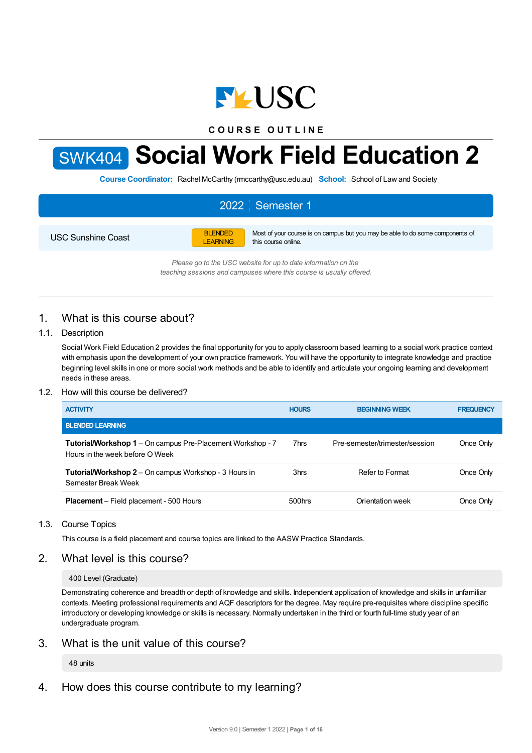

**C O U R S E O U T L I N E**



# SWK404 **Social Work Field Education 2**

**Course Coordinator:** Rachel McCarthy (rmccarthy@usc.edu.au) **School:** School of Law and Society

## 2022 Semester 1 USC Sunshine Coast BLENDED LEARNING Most of your course is on campus but you may be able to do some components of this course online.

*Please go to the USC website for up to date information on the teaching sessions and campuses where this course is usually offered.*

# 1. What is this course about?

## 1.1. Description

Social Work Field Education 2 provides the final opportunity for you to apply classroom based learning to a social work practice context with emphasis upon the development of your own practice framework. You will have the opportunity to integrate knowledge and practice beginning level skills in one or more social work methods and be able to identify and articulate your ongoing learning and development needs in these areas.

## 1.2. How will this course be delivered?

| <b>ACTIVITY</b>                                                                               | <b>HOURS</b> | <b>BEGINNING WEEK</b>          | <b>FREQUENCY</b> |
|-----------------------------------------------------------------------------------------------|--------------|--------------------------------|------------------|
| <b>BLENDED LEARNING</b>                                                                       |              |                                |                  |
| Tutorial/Workshop 1 - On campus Pre-Placement Workshop - 7<br>Hours in the week before O Week | 7hrs         | Pre-semester/trimester/session | Once Only        |
| <b>Tutorial/Workshop 2</b> – On campus Workshop - 3 Hours in<br>Semester Break Week           | 3hrs         | Refer to Format                | Once Only        |
| <b>Placement</b> – Field placement - 500 Hours                                                | $500$ hrs    | Orientation week               | Once Only        |

## 1.3. Course Topics

This course is a field placement and course topics are linked to the AASW Practice Standards.

# 2. What level is this course?

## 400 Level (Graduate)

Demonstrating coherence and breadth or depth of knowledge and skills. Independent application of knowledge and skills in unfamiliar contexts. Meeting professional requirements and AQF descriptors for the degree. May require pre-requisites where discipline specific introductory or developing knowledge or skills is necessary. Normally undertaken in the third or fourth full-time study year of an undergraduate program.

# 3. What is the unit value of this course?

## 48 units

4. How does this course contribute to my learning?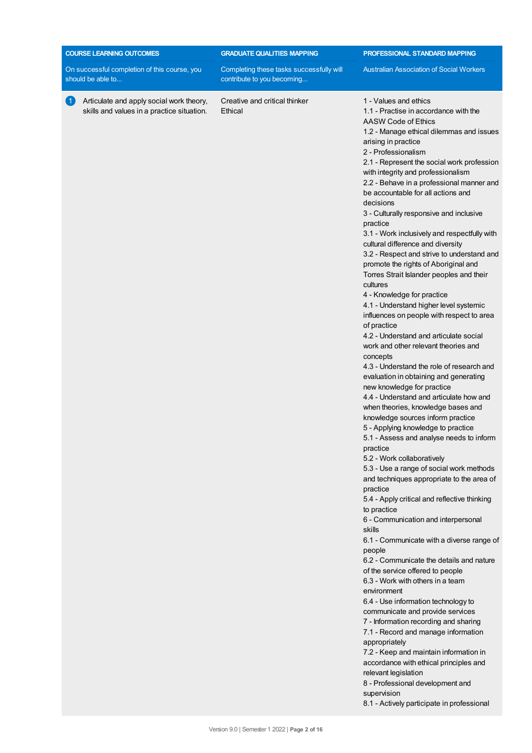| <b>COURSE LEARNING OUTCOMES</b>                                                                          | <b>GRADUATE QUALITIES MAPPING</b>                                      | PROFESSIONAL STANDARD MAPPING                                                                                                                                                                                                                                                                                                                                                                                                                                                                                                                                                                                                                                                                                                                                                                                                                                                                                                                                                                                                                                                                                                                                                                                                                                                                                                                                                                                                                                                                                                                                                                                                                                                                                                                                                                                                                                                                                                                                                                                                    |
|----------------------------------------------------------------------------------------------------------|------------------------------------------------------------------------|----------------------------------------------------------------------------------------------------------------------------------------------------------------------------------------------------------------------------------------------------------------------------------------------------------------------------------------------------------------------------------------------------------------------------------------------------------------------------------------------------------------------------------------------------------------------------------------------------------------------------------------------------------------------------------------------------------------------------------------------------------------------------------------------------------------------------------------------------------------------------------------------------------------------------------------------------------------------------------------------------------------------------------------------------------------------------------------------------------------------------------------------------------------------------------------------------------------------------------------------------------------------------------------------------------------------------------------------------------------------------------------------------------------------------------------------------------------------------------------------------------------------------------------------------------------------------------------------------------------------------------------------------------------------------------------------------------------------------------------------------------------------------------------------------------------------------------------------------------------------------------------------------------------------------------------------------------------------------------------------------------------------------------|
| On successful completion of this course, you<br>should be able to                                        | Completing these tasks successfully will<br>contribute to you becoming | <b>Australian Association of Social Workers</b>                                                                                                                                                                                                                                                                                                                                                                                                                                                                                                                                                                                                                                                                                                                                                                                                                                                                                                                                                                                                                                                                                                                                                                                                                                                                                                                                                                                                                                                                                                                                                                                                                                                                                                                                                                                                                                                                                                                                                                                  |
| Articulate and apply social work theory,<br>$\overline{1}$<br>skills and values in a practice situation. | Creative and critical thinker<br>Ethical                               | 1 - Values and ethics<br>1.1 - Practise in accordance with the<br>AASW Code of Ethics<br>1.2 - Manage ethical dilemmas and issues<br>arising in practice<br>2 - Professionalism<br>2.1 - Represent the social work profession<br>with integrity and professionalism<br>2.2 - Behave in a professional manner and<br>be accountable for all actions and<br>decisions<br>3 - Culturally responsive and inclusive<br>practice<br>3.1 - Work inclusively and respectfully with<br>cultural difference and diversity<br>3.2 - Respect and strive to understand and<br>promote the rights of Aboriginal and<br>Torres Strait Islander peoples and their<br>cultures<br>4 - Knowledge for practice<br>4.1 - Understand higher level systemic<br>influences on people with respect to area<br>of practice<br>4.2 - Understand and articulate social<br>work and other relevant theories and<br>concepts<br>4.3 - Understand the role of research and<br>evaluation in obtaining and generating<br>new knowledge for practice<br>4.4 - Understand and articulate how and<br>when theories, knowledge bases and<br>knowledge sources inform practice<br>5 - Applying knowledge to practice<br>5.1 - Assess and analyse needs to inform<br>practice<br>5.2 - Work collaboratively<br>5.3 - Use a range of social work methods<br>and techniques appropriate to the area of<br>practice<br>5.4 - Apply critical and reflective thinking<br>to practice<br>6 - Communication and interpersonal<br>skills<br>6.1 - Communicate with a diverse range of<br>people<br>6.2 - Communicate the details and nature<br>of the service offered to people<br>6.3 - Work with others in a team<br>environment<br>6.4 - Use information technology to<br>communicate and provide services<br>7 - Information recording and sharing<br>7.1 - Record and manage information<br>appropriately<br>7.2 - Keep and maintain information in<br>accordance with ethical principles and<br>relevant legislation<br>8 - Professional development and<br>supervision |
|                                                                                                          |                                                                        | 8.1 - Actively participate in professional                                                                                                                                                                                                                                                                                                                                                                                                                                                                                                                                                                                                                                                                                                                                                                                                                                                                                                                                                                                                                                                                                                                                                                                                                                                                                                                                                                                                                                                                                                                                                                                                                                                                                                                                                                                                                                                                                                                                                                                       |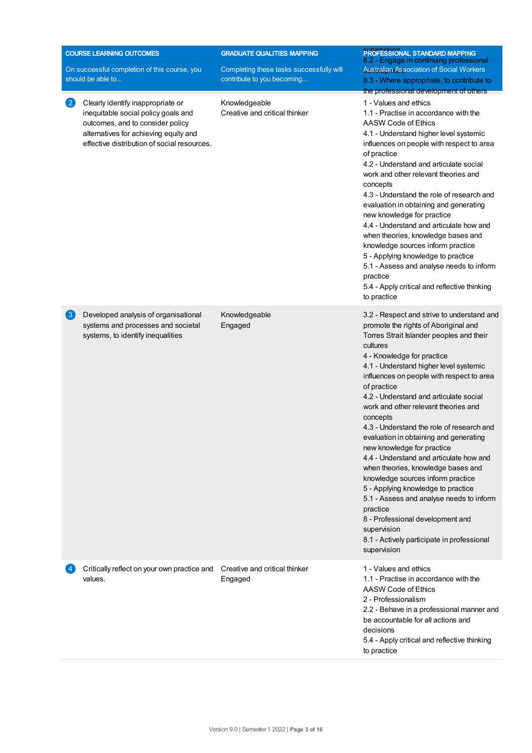| <b>COURSE LEARNING OUTCOMES</b> |                                                                                                                                                                                                      | <b>GRADUATE QUALITIES MAPPING</b>                                      | <b>PROFESSIONAL STANDARD MAPPING</b><br>8.2 - Engage in continuing professional                                                                                                                                                                                                                                                                                                                                                                                                                                                                                                                                                                                                                                                                                                                                                       |
|---------------------------------|------------------------------------------------------------------------------------------------------------------------------------------------------------------------------------------------------|------------------------------------------------------------------------|---------------------------------------------------------------------------------------------------------------------------------------------------------------------------------------------------------------------------------------------------------------------------------------------------------------------------------------------------------------------------------------------------------------------------------------------------------------------------------------------------------------------------------------------------------------------------------------------------------------------------------------------------------------------------------------------------------------------------------------------------------------------------------------------------------------------------------------|
|                                 | On successful completion of this course, you<br>should be able to                                                                                                                                    | Completing these tasks successfully will<br>contribute to you becoming | <b>Australian Association of Social Workers</b><br>8.3 - Where appropriate, to contribute to<br>the professional development of others                                                                                                                                                                                                                                                                                                                                                                                                                                                                                                                                                                                                                                                                                                |
| $\left( 2\right)$               | Clearly identify inappropriate or<br>inequitable social policy goals and<br>outcomes, and to consider policy<br>alternatives for achieving equity and<br>effective distribution of social resources. | Knowledgeable<br>Creative and critical thinker                         | 1 - Values and ethics<br>1.1 - Practise in accordance with the<br>AASW Code of Ethics<br>4.1 - Understand higher level systemic<br>influences on people with respect to area<br>of practice<br>4.2 - Understand and articulate social<br>work and other relevant theories and<br>concepts<br>4.3 - Understand the role of research and<br>evaluation in obtaining and generating<br>new knowledge for practice<br>4.4 - Understand and articulate how and<br>when theories, knowledge bases and<br>knowledge sources inform practice<br>5 - Applying knowledge to practice<br>5.1 - Assess and analyse needs to inform<br>practice<br>5.4 - Apply critical and reflective thinking<br>to practice                                                                                                                                     |
| $\lfloor 3 \rfloor$             | Developed analysis of organisational<br>systems and processes and societal<br>systems, to identify inequalities                                                                                      | Knowledgeable<br>Engaged                                               | 3.2 - Respect and strive to understand and<br>promote the rights of Aboriginal and<br>Torres Strait Islander peoples and their<br>cultures<br>4 - Knowledge for practice<br>4.1 - Understand higher level systemic<br>influences on people with respect to area<br>of practice<br>4.2 - Understand and articulate social<br>work and other relevant theories and<br>concepts<br>4.3 - Understand the role of research and<br>evaluation in obtaining and generating<br>new knowledge for practice<br>4.4 - Understand and articulate how and<br>when theories, knowledge bases and<br>knowledge sources inform practice<br>5 - Applying knowledge to practice<br>5.1 - Assess and analyse needs to inform<br>practice<br>8 - Professional development and<br>supervision<br>8.1 - Actively participate in professional<br>supervision |
|                                 | Critically reflect on your own practice and<br>values.                                                                                                                                               | Creative and critical thinker<br>Engaged                               | 1 - Values and ethics<br>1.1 - Practise in accordance with the<br>AASW Code of Ethics<br>2 - Professionalism<br>2.2 - Behave in a professional manner and<br>be accountable for all actions and<br>decisions<br>5.4 - Apply critical and reflective thinking<br>to practice                                                                                                                                                                                                                                                                                                                                                                                                                                                                                                                                                           |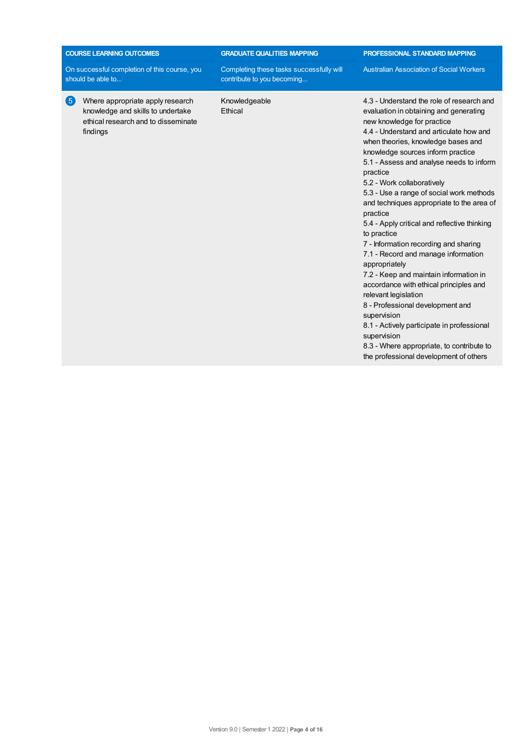|                                                                   | <b>COURSE LEARNING OUTCOMES</b>                                                                                          | <b>GRADUATE QUALITIES MAPPING</b>                                      | PROFESSIONAL STANDARD MAPPING                                                                                                                                                                                                                                                                                                                                                                                                                                                                                                                                                                                                                                                                                                                                                                                                                                                                                         |  |
|-------------------------------------------------------------------|--------------------------------------------------------------------------------------------------------------------------|------------------------------------------------------------------------|-----------------------------------------------------------------------------------------------------------------------------------------------------------------------------------------------------------------------------------------------------------------------------------------------------------------------------------------------------------------------------------------------------------------------------------------------------------------------------------------------------------------------------------------------------------------------------------------------------------------------------------------------------------------------------------------------------------------------------------------------------------------------------------------------------------------------------------------------------------------------------------------------------------------------|--|
| On successful completion of this course, you<br>should be able to |                                                                                                                          | Completing these tasks successfully will<br>contribute to you becoming | <b>Australian Association of Social Workers</b>                                                                                                                                                                                                                                                                                                                                                                                                                                                                                                                                                                                                                                                                                                                                                                                                                                                                       |  |
| $\sqrt{5}$                                                        | Where appropriate apply research<br>knowledge and skills to undertake<br>ethical research and to disseminate<br>findings | Knowledgeable<br>Ethical                                               | 4.3 - Understand the role of research and<br>evaluation in obtaining and generating<br>new knowledge for practice<br>4.4 - Understand and articulate how and<br>when theories, knowledge bases and<br>knowledge sources inform practice<br>5.1 - Assess and analyse needs to inform<br>practice<br>5.2 - Work collaboratively<br>5.3 - Use a range of social work methods<br>and techniques appropriate to the area of<br>practice<br>5.4 - Apply critical and reflective thinking<br>to practice<br>7 - Information recording and sharing<br>7.1 - Record and manage information<br>appropriately<br>7.2 - Keep and maintain information in<br>accordance with ethical principles and<br>relevant legislation<br>8 - Professional development and<br>supervision<br>8.1 - Actively participate in professional<br>supervision<br>8.3 - Where appropriate, to contribute to<br>the professional development of others |  |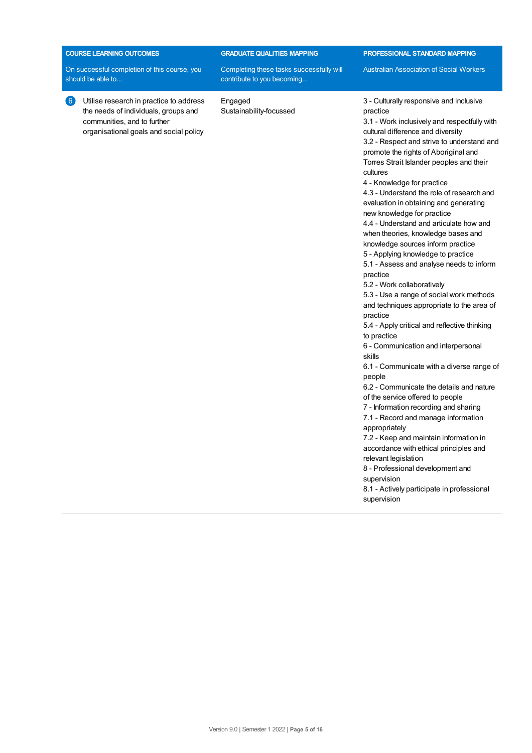| <b>COURSE LEARNING OUTCOMES</b>                                                                                                                                               | <b>GRADUATE QUALITIES MAPPING</b>                                      | <b>PROFESSIONAL STANDARD MAPPING</b>                                                                                                                                                                                                                                                                                                                                                                                                                                                                                                                                                                                                                                                                                                                                                                                                                                                                                                                                                                                                                                                                                                                                                                                                                                                                                    |  |
|-------------------------------------------------------------------------------------------------------------------------------------------------------------------------------|------------------------------------------------------------------------|-------------------------------------------------------------------------------------------------------------------------------------------------------------------------------------------------------------------------------------------------------------------------------------------------------------------------------------------------------------------------------------------------------------------------------------------------------------------------------------------------------------------------------------------------------------------------------------------------------------------------------------------------------------------------------------------------------------------------------------------------------------------------------------------------------------------------------------------------------------------------------------------------------------------------------------------------------------------------------------------------------------------------------------------------------------------------------------------------------------------------------------------------------------------------------------------------------------------------------------------------------------------------------------------------------------------------|--|
| On successful completion of this course, you<br>should be able to                                                                                                             | Completing these tasks successfully will<br>contribute to you becoming | <b>Australian Association of Social Workers</b>                                                                                                                                                                                                                                                                                                                                                                                                                                                                                                                                                                                                                                                                                                                                                                                                                                                                                                                                                                                                                                                                                                                                                                                                                                                                         |  |
| $\left( 6\right)$<br>Utilise research in practice to address<br>the needs of individuals, groups and<br>communities, and to further<br>organisational goals and social policy | Engaged<br>Sustainability-focussed                                     | 3 - Culturally responsive and inclusive<br>practice<br>3.1 - Work inclusively and respectfully with<br>cultural difference and diversity<br>3.2 - Respect and strive to understand and<br>promote the rights of Aboriginal and<br>Torres Strait Islander peoples and their<br>cultures<br>4 - Knowledge for practice<br>4.3 - Understand the role of research and<br>evaluation in obtaining and generating<br>new knowledge for practice<br>4.4 - Understand and articulate how and<br>when theories, knowledge bases and<br>knowledge sources inform practice<br>5 - Applying knowledge to practice<br>5.1 - Assess and analyse needs to inform<br>practice<br>5.2 - Work collaboratively<br>5.3 - Use a range of social work methods<br>and techniques appropriate to the area of<br>practice<br>5.4 - Apply critical and reflective thinking<br>to practice<br>6 - Communication and interpersonal<br>skills<br>6.1 - Communicate with a diverse range of<br>people<br>6.2 - Communicate the details and nature<br>of the service offered to people<br>7 - Information recording and sharing<br>7.1 - Record and manage information<br>appropriately<br>7.2 - Keep and maintain information in<br>accordance with ethical principles and<br>relevant legislation<br>8 - Professional development and<br>supervision |  |

8.1 - Actively participate in professional supervision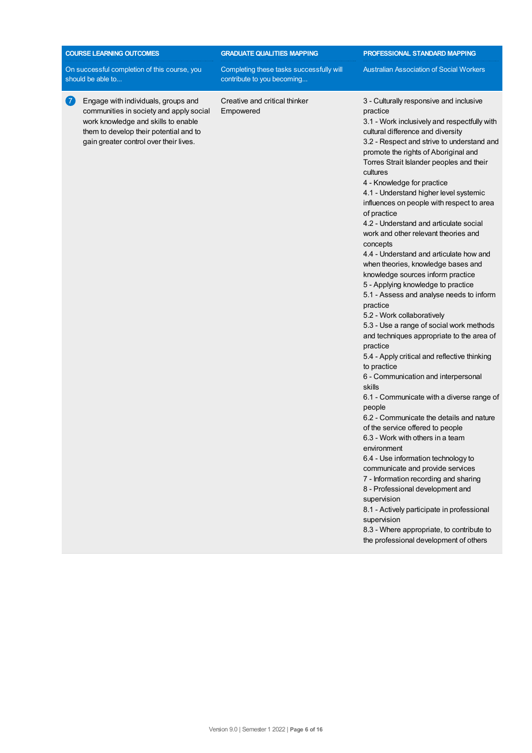| <b>COURSE LEARNING OUTCOMES</b>                                                                                                                                                                                             | <b>GRADUATE QUALITIES MAPPING</b>                                      | PROFESSIONAL STANDARD MAPPING                                                                                                                                                                                                                                                                                                                                                                                                                                                                                                                                                                                                                                                                                                                                                                                                                                                                                                                                                                                                                                                                                                                                                                                                                                                                                                                                                                                                                                                                                        |
|-----------------------------------------------------------------------------------------------------------------------------------------------------------------------------------------------------------------------------|------------------------------------------------------------------------|----------------------------------------------------------------------------------------------------------------------------------------------------------------------------------------------------------------------------------------------------------------------------------------------------------------------------------------------------------------------------------------------------------------------------------------------------------------------------------------------------------------------------------------------------------------------------------------------------------------------------------------------------------------------------------------------------------------------------------------------------------------------------------------------------------------------------------------------------------------------------------------------------------------------------------------------------------------------------------------------------------------------------------------------------------------------------------------------------------------------------------------------------------------------------------------------------------------------------------------------------------------------------------------------------------------------------------------------------------------------------------------------------------------------------------------------------------------------------------------------------------------------|
| On successful completion of this course, you<br>should be able to                                                                                                                                                           | Completing these tasks successfully will<br>contribute to you becoming | <b>Australian Association of Social Workers</b>                                                                                                                                                                                                                                                                                                                                                                                                                                                                                                                                                                                                                                                                                                                                                                                                                                                                                                                                                                                                                                                                                                                                                                                                                                                                                                                                                                                                                                                                      |
| $\overline{7}$<br>Engage with individuals, groups and<br>communities in society and apply social<br>work knowledge and skills to enable<br>them to develop their potential and to<br>gain greater control over their lives. | Creative and critical thinker<br>Empowered                             | 3 - Culturally responsive and inclusive<br>practice<br>3.1 - Work inclusively and respectfully with<br>cultural difference and diversity<br>3.2 - Respect and strive to understand and<br>promote the rights of Aboriginal and<br>Torres Strait Islander peoples and their<br>cultures<br>4 - Knowledge for practice<br>4.1 - Understand higher level systemic<br>influences on people with respect to area<br>of practice<br>4.2 - Understand and articulate social<br>work and other relevant theories and<br>concepts<br>4.4 - Understand and articulate how and<br>when theories, knowledge bases and<br>knowledge sources inform practice<br>5 - Applying knowledge to practice<br>5.1 - Assess and analyse needs to inform<br>practice<br>5.2 - Work collaboratively<br>5.3 - Use a range of social work methods<br>and techniques appropriate to the area of<br>practice<br>5.4 - Apply critical and reflective thinking<br>to practice<br>6 - Communication and interpersonal<br>skills<br>6.1 - Communicate with a diverse range of<br>people<br>6.2 - Communicate the details and nature<br>of the service offered to people<br>6.3 - Work with others in a team<br>environment<br>6.4 - Use information technology to<br>communicate and provide services<br>7 - Information recording and sharing<br>8 - Professional development and<br>supervision<br>8.1 - Actively participate in professional<br>supervision<br>8.3 - Where appropriate, to contribute to<br>the professional development of others |
|                                                                                                                                                                                                                             |                                                                        |                                                                                                                                                                                                                                                                                                                                                                                                                                                                                                                                                                                                                                                                                                                                                                                                                                                                                                                                                                                                                                                                                                                                                                                                                                                                                                                                                                                                                                                                                                                      |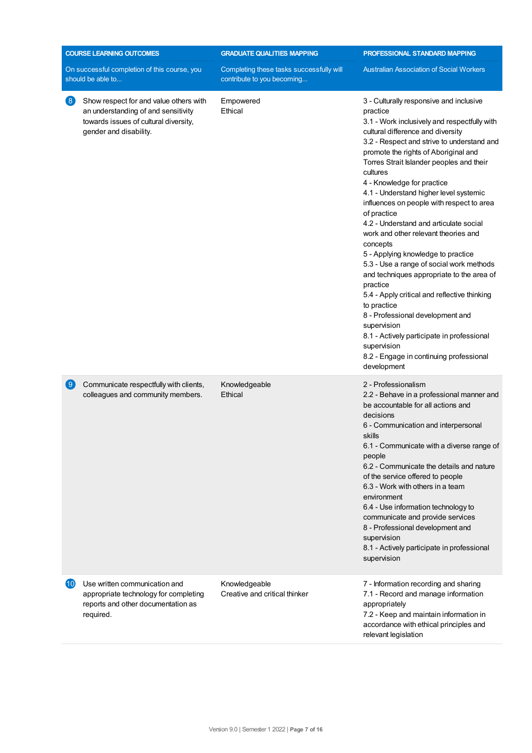|                                                          | <b>COURSE LEARNING OUTCOMES</b>                                                                                                                  | <b>GRADUATE QUALITIES MAPPING</b>                                      | PROFESSIONAL STANDARD MAPPING                                                                                                                                                                                                                                                                                                                                                                                                                                                                                                                                                                                                                                                                                                                                                                                                                                                                                |
|----------------------------------------------------------|--------------------------------------------------------------------------------------------------------------------------------------------------|------------------------------------------------------------------------|--------------------------------------------------------------------------------------------------------------------------------------------------------------------------------------------------------------------------------------------------------------------------------------------------------------------------------------------------------------------------------------------------------------------------------------------------------------------------------------------------------------------------------------------------------------------------------------------------------------------------------------------------------------------------------------------------------------------------------------------------------------------------------------------------------------------------------------------------------------------------------------------------------------|
|                                                          | On successful completion of this course, you<br>should be able to                                                                                | Completing these tasks successfully will<br>contribute to you becoming | <b>Australian Association of Social Workers</b>                                                                                                                                                                                                                                                                                                                                                                                                                                                                                                                                                                                                                                                                                                                                                                                                                                                              |
| $\left( 8\right)$                                        | Show respect for and value others with<br>an understanding of and sensitivity<br>towards issues of cultural diversity,<br>gender and disability. | Empowered<br>Ethical                                                   | 3 - Culturally responsive and inclusive<br>practice<br>3.1 - Work inclusively and respectfully with<br>cultural difference and diversity<br>3.2 - Respect and strive to understand and<br>promote the rights of Aboriginal and<br>Torres Strait Islander peoples and their<br>cultures<br>4 - Knowledge for practice<br>4.1 - Understand higher level systemic<br>influences on people with respect to area<br>of practice<br>4.2 - Understand and articulate social<br>work and other relevant theories and<br>concepts<br>5 - Applying knowledge to practice<br>5.3 - Use a range of social work methods<br>and techniques appropriate to the area of<br>practice<br>5.4 - Apply critical and reflective thinking<br>to practice<br>8 - Professional development and<br>supervision<br>8.1 - Actively participate in professional<br>supervision<br>8.2 - Engage in continuing professional<br>development |
| $\left[ \begin{smallmatrix} 9 \end{smallmatrix} \right]$ | Communicate respectfully with clients,<br>colleagues and community members.                                                                      | Knowledgeable<br>Ethical                                               | 2 - Professionalism<br>2.2 - Behave in a professional manner and<br>be accountable for all actions and<br>decisions<br>6 - Communication and interpersonal<br>skills<br>6.1 - Communicate with a diverse range of<br>people<br>6.2 - Communicate the details and nature<br>of the service offered to people<br>6.3 - Work with others in a team<br>environment<br>6.4 - Use information technology to<br>communicate and provide services<br>8 - Professional development and<br>supervision<br>8.1 - Actively participate in professional<br>supervision                                                                                                                                                                                                                                                                                                                                                    |
| (10)                                                     | Use written communication and<br>appropriate technology for completing<br>reports and other documentation as<br>required.                        | Knowledgeable<br>Creative and critical thinker                         | 7 - Information recording and sharing<br>7.1 - Record and manage information<br>appropriately<br>7.2 - Keep and maintain information in<br>accordance with ethical principles and<br>relevant legislation                                                                                                                                                                                                                                                                                                                                                                                                                                                                                                                                                                                                                                                                                                    |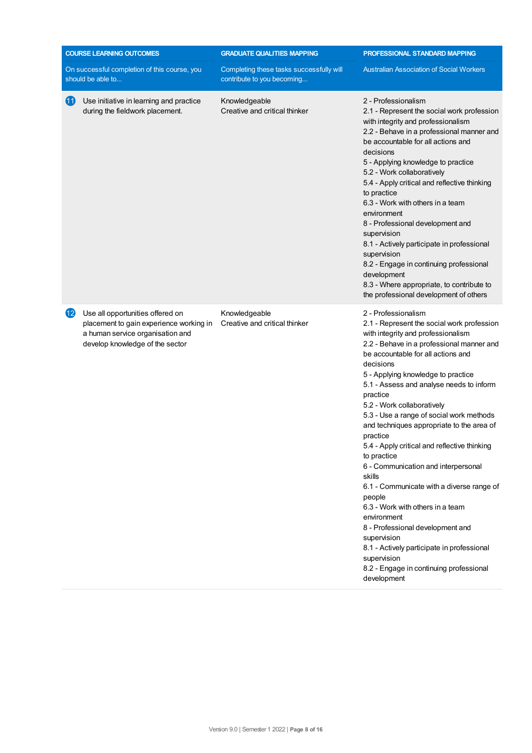|           | <b>COURSE LEARNING OUTCOMES</b>                                                                                                                    | <b>GRADUATE QUALITIES MAPPING</b>                                      | PROFESSIONAL STANDARD MAPPING                                                                                                                                                                                                                                                                                                                                                                                                                                                                                                                                                                                                                                                                                                                                                                                                                |
|-----------|----------------------------------------------------------------------------------------------------------------------------------------------------|------------------------------------------------------------------------|----------------------------------------------------------------------------------------------------------------------------------------------------------------------------------------------------------------------------------------------------------------------------------------------------------------------------------------------------------------------------------------------------------------------------------------------------------------------------------------------------------------------------------------------------------------------------------------------------------------------------------------------------------------------------------------------------------------------------------------------------------------------------------------------------------------------------------------------|
|           | On successful completion of this course, you<br>should be able to                                                                                  | Completing these tasks successfully will<br>contribute to you becoming | <b>Australian Association of Social Workers</b>                                                                                                                                                                                                                                                                                                                                                                                                                                                                                                                                                                                                                                                                                                                                                                                              |
| (11)      | Use initiative in learning and practice<br>during the fieldwork placement.                                                                         | Knowledgeable<br>Creative and critical thinker                         | 2 - Professionalism<br>2.1 - Represent the social work profession<br>with integrity and professionalism<br>2.2 - Behave in a professional manner and<br>be accountable for all actions and<br>decisions<br>5 - Applying knowledge to practice<br>5.2 - Work collaboratively<br>5.4 - Apply critical and reflective thinking<br>to practice<br>6.3 - Work with others in a team<br>environment<br>8 - Professional development and<br>supervision<br>8.1 - Actively participate in professional<br>supervision<br>8.2 - Engage in continuing professional<br>development<br>8.3 - Where appropriate, to contribute to<br>the professional development of others                                                                                                                                                                               |
| $\bf{12}$ | Use all opportunities offered on<br>placement to gain experience working in<br>a human service organisation and<br>develop knowledge of the sector | Knowledgeable<br>Creative and critical thinker                         | 2 - Professionalism<br>2.1 - Represent the social work profession<br>with integrity and professionalism<br>2.2 - Behave in a professional manner and<br>be accountable for all actions and<br>decisions<br>5 - Applying knowledge to practice<br>5.1 - Assess and analyse needs to inform<br>practice<br>5.2 - Work collaboratively<br>5.3 - Use a range of social work methods<br>and techniques appropriate to the area of<br>practice<br>5.4 - Apply critical and reflective thinking<br>to practice<br>6 - Communication and interpersonal<br>skills<br>6.1 - Communicate with a diverse range of<br>people<br>6.3 - Work with others in a team<br>environment<br>8 - Professional development and<br>supervision<br>8.1 - Actively participate in professional<br>supervision<br>8.2 - Engage in continuing professional<br>development |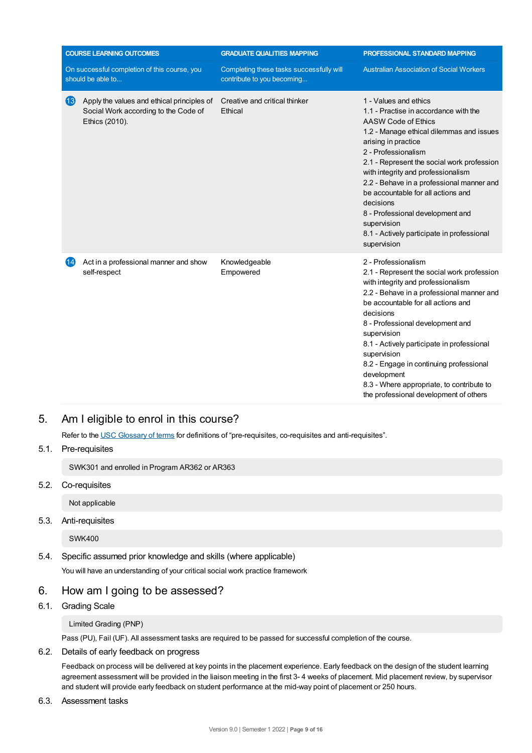|                    | <b>COURSE LEARNING OUTCOMES</b>                                                                      | <b>GRADUATE QUALITIES MAPPING</b>                                      | PROFESSIONAL STANDARD MAPPING                                                                                                                                                                                                                                                                                                                                                                                                                                                       |
|--------------------|------------------------------------------------------------------------------------------------------|------------------------------------------------------------------------|-------------------------------------------------------------------------------------------------------------------------------------------------------------------------------------------------------------------------------------------------------------------------------------------------------------------------------------------------------------------------------------------------------------------------------------------------------------------------------------|
|                    | On successful completion of this course, you<br>should be able to                                    | Completing these tasks successfully will<br>contribute to you becoming | <b>Australian Association of Social Workers</b>                                                                                                                                                                                                                                                                                                                                                                                                                                     |
| $\left( 13\right)$ | Apply the values and ethical principles of<br>Social Work according to the Code of<br>Ethics (2010). | Creative and critical thinker<br>Ethical                               | 1 - Values and ethics<br>1.1 - Practise in accordance with the<br>AASW Code of Ethics<br>1.2 - Manage ethical dilemmas and issues<br>arising in practice<br>2 - Professionalism<br>2.1 - Represent the social work profession<br>with integrity and professionalism<br>2.2 - Behave in a professional manner and<br>be accountable for all actions and<br>decisions<br>8 - Professional development and<br>supervision<br>8.1 - Actively participate in professional<br>supervision |
| (14)               | Act in a professional manner and show<br>self-respect                                                | Knowledgeable<br>Empowered                                             | 2 - Professionalism<br>2.1 - Represent the social work profession<br>with integrity and professionalism<br>2.2 - Behave in a professional manner and<br>be accountable for all actions and<br>decisions<br>8 - Professional development and<br>supervision<br>8.1 - Actively participate in professional<br>supervision<br>8.2 - Engage in continuing professional<br>development<br>8.3 - Where appropriate, to contribute to<br>the professional development of others            |

# 5. Am Ieligible to enrol in this course?

Refer to the USC [Glossary](https://www.usc.edu.au/about/policies-and-procedures/glossary-of-terms-for-policy-and-procedures) of terms for definitions of "pre-requisites, co-requisites and anti-requisites".

5.1. Pre-requisites

SWK301 and enrolled in Program AR362 or AR363

5.2. Co-requisites

Not applicable

## 5.3. Anti-requisites

SWK400

5.4. Specific assumed prior knowledge and skills (where applicable) You will have an understanding of your critical social work practice framework

# 6. How am Igoing to be assessed?

6.1. Grading Scale

Limited Grading (PNP)

Pass (PU), Fail (UF). All assessment tasks are required to be passed for successful completion of the course.

# 6.2. Details of early feedback on progress

Feedback on process will be delivered at key points in the placement experience. Early feedback on the design of the student learning agreement assessment will be provided in the liaison meeting in the first 3- 4 weeks of placement. Mid placement review, by supervisor and student will provide early feedback on student performance at the mid-way point of placement or 250 hours.

6.3. Assessment tasks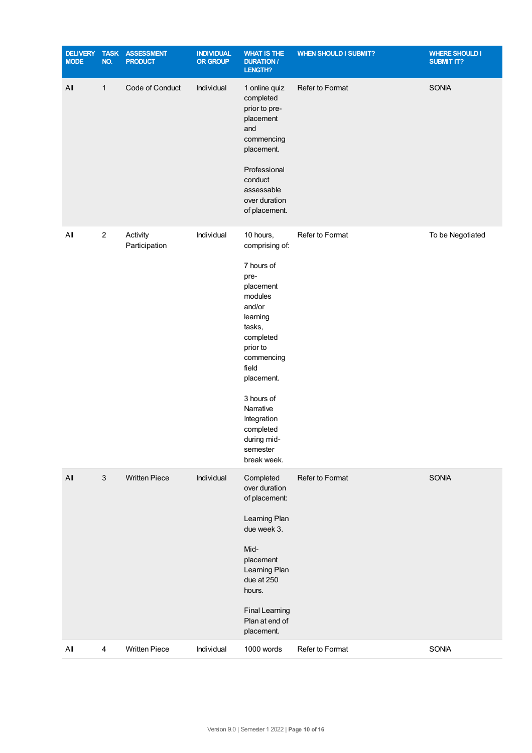| <b>DELIVERY</b><br><b>MODE</b> | <b>TASK</b><br>NO. | <b>ASSESSMENT</b><br><b>PRODUCT</b> | <b>INDIVIDUAL</b><br><b>OR GROUP</b> | <b>WHAT IS THE</b><br><b>DURATION /</b><br>LENGTH?                                                                                                                                                                                                                       | <b>WHEN SHOULD I SUBMIT?</b> | <b>WHERE SHOULD I</b><br><b>SUBMIT IT?</b> |
|--------------------------------|--------------------|-------------------------------------|--------------------------------------|--------------------------------------------------------------------------------------------------------------------------------------------------------------------------------------------------------------------------------------------------------------------------|------------------------------|--------------------------------------------|
| All                            | $\mathbf{1}$       | Code of Conduct                     | Individual                           | 1 online quiz<br>completed<br>prior to pre-<br>placement<br>and<br>commencing<br>placement.<br>Professional<br>conduct<br>assessable<br>over duration<br>of placement.                                                                                                   | Refer to Format              | <b>SONIA</b>                               |
| All                            | $\overline{c}$     | Activity<br>Participation           | Individual                           | 10 hours,<br>comprising of:<br>7 hours of<br>pre-<br>placement<br>modules<br>and/or<br>learning<br>tasks,<br>completed<br>prior to<br>commencing<br>field<br>placement.<br>3 hours of<br>Narrative<br>Integration<br>completed<br>during mid-<br>semester<br>break week. | Refer to Format              | To be Negotiated                           |
| All                            | $\sqrt{3}$         | <b>Written Piece</b>                | Individual                           | Completed<br>over duration<br>of placement:<br>Learning Plan<br>due week 3.<br>Mid-<br>placement<br>Learning Plan<br>due at 250<br>hours.<br><b>Final Learning</b><br>Plan at end of<br>placement.                                                                       | Refer to Format              | SONIA                                      |
| All                            | 4                  | <b>Written Piece</b>                | Individual                           | 1000 words                                                                                                                                                                                                                                                               | Refer to Format              | SONIA                                      |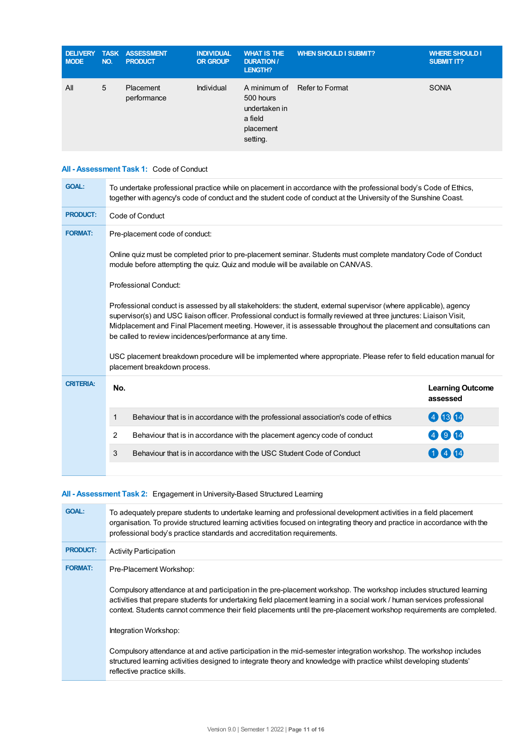| <b>NODE</b> | NO. | <b>DELIVERY TASK ASSESSMENT</b><br><b>PRODUCT</b> | <b>INDIVIDUAL</b><br><b>OR GROUP</b> | <b>WHAT IS THE</b><br><b>DURATION /</b><br>LENGTH?             | <b>WHEN SHOULD I SUBMIT?</b> | <b>WHERE SHOULD I</b><br><b>SUBMIT IT?</b> |
|-------------|-----|---------------------------------------------------|--------------------------------------|----------------------------------------------------------------|------------------------------|--------------------------------------------|
| All         | 5   | Placement<br>performance                          | Individual                           | 500 hours<br>undertaken in<br>a field<br>placement<br>setting. | A minimum of Refer to Format | <b>SONIA</b>                               |

## **All - Assessment Task 1:** Code of Conduct

| <b>GOAL:</b>                                                                                                                                                                                                                                                                                                                                                                                                              | To undertake professional practice while on placement in accordance with the professional body's Code of Ethics,<br>together with agency's code of conduct and the student code of conduct at the University of the Sunshine Coast. |      |  |  |  |  |  |
|---------------------------------------------------------------------------------------------------------------------------------------------------------------------------------------------------------------------------------------------------------------------------------------------------------------------------------------------------------------------------------------------------------------------------|-------------------------------------------------------------------------------------------------------------------------------------------------------------------------------------------------------------------------------------|------|--|--|--|--|--|
| <b>PRODUCT:</b>                                                                                                                                                                                                                                                                                                                                                                                                           | Code of Conduct                                                                                                                                                                                                                     |      |  |  |  |  |  |
| <b>FORMAT:</b>                                                                                                                                                                                                                                                                                                                                                                                                            | Pre-placement code of conduct:                                                                                                                                                                                                      |      |  |  |  |  |  |
|                                                                                                                                                                                                                                                                                                                                                                                                                           | Online quiz must be completed prior to pre-placement seminar. Students must complete mandatory Code of Conduct<br>module before attempting the quiz. Quiz and module will be available on CANVAS.                                   |      |  |  |  |  |  |
|                                                                                                                                                                                                                                                                                                                                                                                                                           | Professional Conduct:                                                                                                                                                                                                               |      |  |  |  |  |  |
| Professional conduct is assessed by all stakeholders: the student, external supervisor (where applicable), agency<br>supervisor(s) and USC liaison officer. Professional conduct is formally reviewed at three junctures: Liaison Visit,<br>Midplacement and Final Placement meeting. However, it is assessable throughout the placement and consultations can<br>be called to review incidences/performance at any time. |                                                                                                                                                                                                                                     |      |  |  |  |  |  |
|                                                                                                                                                                                                                                                                                                                                                                                                                           | USC placement breakdown procedure will be implemented where appropriate. Please refer to field education manual for<br>placement breakdown process.                                                                                 |      |  |  |  |  |  |
| <b>CRITERIA:</b>                                                                                                                                                                                                                                                                                                                                                                                                          | No.<br><b>Learning Outcome</b><br>assessed                                                                                                                                                                                          |      |  |  |  |  |  |
|                                                                                                                                                                                                                                                                                                                                                                                                                           | Behaviour that is in accordance with the professional association's code of ethics<br>1                                                                                                                                             | 460  |  |  |  |  |  |
|                                                                                                                                                                                                                                                                                                                                                                                                                           | $\overline{2}$<br>Behaviour that is in accordance with the placement agency code of conduct                                                                                                                                         | 4914 |  |  |  |  |  |
|                                                                                                                                                                                                                                                                                                                                                                                                                           | 3<br>Behaviour that is in accordance with the USC Student Code of Conduct                                                                                                                                                           | 000  |  |  |  |  |  |
|                                                                                                                                                                                                                                                                                                                                                                                                                           |                                                                                                                                                                                                                                     |      |  |  |  |  |  |

## **All - Assessment Task 2:** Engagement in University-Based Structured Learning

| <b>GOAL:</b>    | To adequately prepare students to undertake learning and professional development activities in a field placement<br>organisation. To provide structured learning activities focused on integrating theory and practice in accordance with the<br>professional body's practice standards and accreditation requirements.                                                 |
|-----------------|--------------------------------------------------------------------------------------------------------------------------------------------------------------------------------------------------------------------------------------------------------------------------------------------------------------------------------------------------------------------------|
| <b>PRODUCT:</b> | <b>Activity Participation</b>                                                                                                                                                                                                                                                                                                                                            |
| <b>FORMAT:</b>  | Pre-Placement Workshop:                                                                                                                                                                                                                                                                                                                                                  |
|                 | Compulsory attendance at and participation in the pre-placement workshop. The workshop includes structured learning<br>activities that prepare students for undertaking field placement learning in a social work / human services professional<br>context. Students cannot commence their field placements until the pre-placement workshop requirements are completed. |
|                 | Integration Workshop:                                                                                                                                                                                                                                                                                                                                                    |
|                 | Compulsory attendance at and active participation in the mid-semester integration workshop. The workshop includes<br>structured learning activities designed to integrate theory and knowledge with practice whilst developing students'<br>reflective practice skills.                                                                                                  |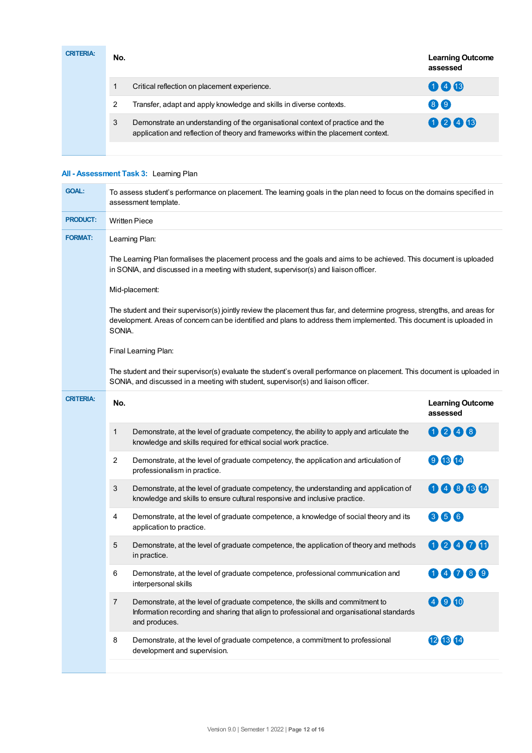| <b>CRITERIA:</b> | No. |                                                                                                                                                                     | <b>Learning Outcome</b><br>assessed |
|------------------|-----|---------------------------------------------------------------------------------------------------------------------------------------------------------------------|-------------------------------------|
|                  |     | Critical reflection on placement experience.                                                                                                                        | 000                                 |
|                  |     | Transfer, adapt and apply knowledge and skills in diverse contexts.                                                                                                 | 8 <sup>o</sup>                      |
|                  | 3   | Demonstrate an understanding of the organisational context of practice and the<br>application and reflection of theory and frameworks within the placement context. | 0246                                |
|                  |     |                                                                                                                                                                     |                                     |

# **All - Assessment Task 3:** Learning Plan

| <b>GOAL:</b>     | To assess student's performance on placement. The learning goals in the plan need to focus on the domains specified in<br>assessment template.                                                                                                               |                                                                                                                                                                                                                 |                                     |  |  |
|------------------|--------------------------------------------------------------------------------------------------------------------------------------------------------------------------------------------------------------------------------------------------------------|-----------------------------------------------------------------------------------------------------------------------------------------------------------------------------------------------------------------|-------------------------------------|--|--|
| <b>PRODUCT:</b>  | <b>Written Piece</b>                                                                                                                                                                                                                                         |                                                                                                                                                                                                                 |                                     |  |  |
| <b>FORMAT:</b>   | Learning Plan:                                                                                                                                                                                                                                               |                                                                                                                                                                                                                 |                                     |  |  |
|                  | The Learning Plan formalises the placement process and the goals and aims to be achieved. This document is uploaded<br>in SONIA, and discussed in a meeting with student, supervisor(s) and liaison officer.                                                 |                                                                                                                                                                                                                 |                                     |  |  |
|                  | Mid-placement:                                                                                                                                                                                                                                               |                                                                                                                                                                                                                 |                                     |  |  |
|                  | The student and their supervisor(s) jointly review the placement thus far, and determine progress, strengths, and areas for<br>development. Areas of concern can be identified and plans to address them implemented. This document is uploaded in<br>SONIA. |                                                                                                                                                                                                                 |                                     |  |  |
|                  | Final Learning Plan:                                                                                                                                                                                                                                         |                                                                                                                                                                                                                 |                                     |  |  |
|                  |                                                                                                                                                                                                                                                              | The student and their supervisor(s) evaluate the student's overall performance on placement. This document is uploaded in<br>SONIA, and discussed in a meeting with student, supervisor(s) and liaison officer. |                                     |  |  |
| <b>CRITERIA:</b> | No.                                                                                                                                                                                                                                                          |                                                                                                                                                                                                                 | <b>Learning Outcome</b><br>assessed |  |  |
|                  | 1                                                                                                                                                                                                                                                            | Demonstrate, at the level of graduate competency, the ability to apply and articulate the<br>knowledge and skills required for ethical social work practice.                                                    | 0048                                |  |  |
|                  | $\overline{c}$                                                                                                                                                                                                                                               | Demonstrate, at the level of graduate competency, the application and articulation of<br>professionalism in practice.                                                                                           | 980                                 |  |  |
|                  | 3                                                                                                                                                                                                                                                            | Demonstrate, at the level of graduate competency, the understanding and application of<br>knowledge and skills to ensure cultural responsive and inclusive practice.                                            | 00000                               |  |  |
|                  | 4                                                                                                                                                                                                                                                            | Demonstrate, at the level of graduate competence, a knowledge of social theory and its<br>application to practice.                                                                                              | 356                                 |  |  |
|                  | 5                                                                                                                                                                                                                                                            | Demonstrate, at the level of graduate competence, the application of theory and methods<br>in practice.                                                                                                         | 00000                               |  |  |
|                  | 6                                                                                                                                                                                                                                                            | Demonstrate, at the level of graduate competence, professional communication and<br>interpersonal skills                                                                                                        | 00089                               |  |  |
|                  | $\overline{7}$                                                                                                                                                                                                                                               | Demonstrate, at the level of graduate competence, the skills and commitment to<br>Information recording and sharing that align to professional and organisational standards<br>and produces.                    | 400                                 |  |  |
|                  | 8                                                                                                                                                                                                                                                            | Demonstrate, at the level of graduate competence, a commitment to professional<br>development and supervision.                                                                                                  | 121314                              |  |  |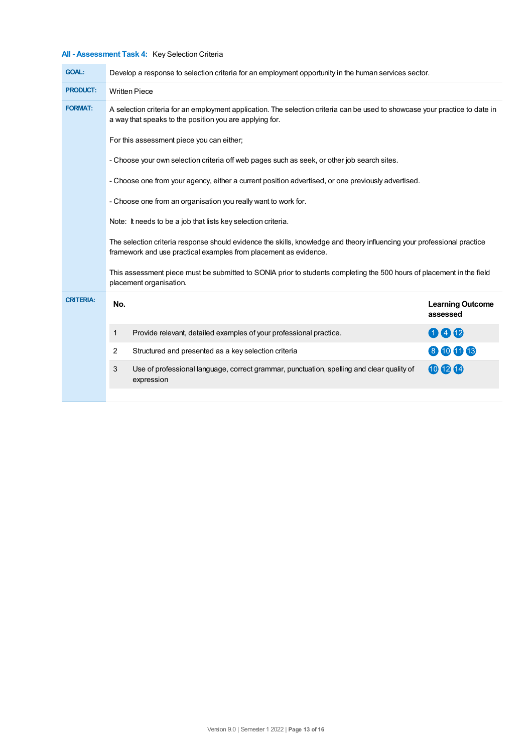# **All - Assessment Task 4:** Key Selection Criteria

| <b>GOAL:</b>     | Develop a response to selection criteria for an employment opportunity in the human services sector.                                                                                        |                                                                                                                                                                                        |                                     |  |  |
|------------------|---------------------------------------------------------------------------------------------------------------------------------------------------------------------------------------------|----------------------------------------------------------------------------------------------------------------------------------------------------------------------------------------|-------------------------------------|--|--|
| <b>PRODUCT:</b>  | <b>Written Piece</b>                                                                                                                                                                        |                                                                                                                                                                                        |                                     |  |  |
| <b>FORMAT:</b>   |                                                                                                                                                                                             | A selection criteria for an employment application. The selection criteria can be used to showcase your practice to date in<br>a way that speaks to the position you are applying for. |                                     |  |  |
|                  | For this assessment piece you can either;                                                                                                                                                   |                                                                                                                                                                                        |                                     |  |  |
|                  | - Choose your own selection criteria off web pages such as seek, or other job search sites.                                                                                                 |                                                                                                                                                                                        |                                     |  |  |
|                  | - Choose one from your agency, either a current position advertised, or one previously advertised.                                                                                          |                                                                                                                                                                                        |                                     |  |  |
|                  | - Choose one from an organisation you really want to work for.                                                                                                                              |                                                                                                                                                                                        |                                     |  |  |
|                  | Note: It needs to be a job that lists key selection criteria.                                                                                                                               |                                                                                                                                                                                        |                                     |  |  |
|                  | The selection criteria response should evidence the skills, knowledge and theory influencing your professional practice<br>framework and use practical examples from placement as evidence. |                                                                                                                                                                                        |                                     |  |  |
|                  | This assessment piece must be submitted to SONIA prior to students completing the 500 hours of placement in the field<br>placement organisation.                                            |                                                                                                                                                                                        |                                     |  |  |
| <b>CRITERIA:</b> | No.                                                                                                                                                                                         |                                                                                                                                                                                        | <b>Learning Outcome</b><br>assessed |  |  |
|                  | 1                                                                                                                                                                                           | Provide relevant, detailed examples of your professional practice.                                                                                                                     | 000                                 |  |  |
|                  | $\overline{2}$                                                                                                                                                                              | Structured and presented as a key selection criteria                                                                                                                                   | 8006                                |  |  |
|                  | 3                                                                                                                                                                                           | Use of professional language, correct grammar, punctuation, spelling and clear quality of<br>expression                                                                                | 000                                 |  |  |
|                  |                                                                                                                                                                                             |                                                                                                                                                                                        |                                     |  |  |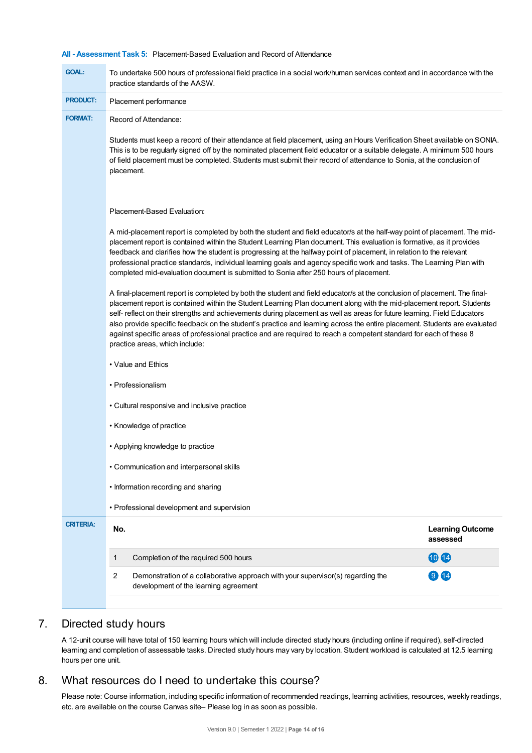## **All - Assessment Task 5:** Placement-Based Evaluation and Record of Attendance

| <b>GOAL:</b>     | To undertake 500 hours of professional field practice in a social work/human services context and in accordance with the<br>practice standards of the AASW.                                                                                                                                                                                                                                                                                                                                                                                                                                                                                                                                                                                                                                                                                                                                                                                                                                                                                                                                                                                                                                                                                                         |                                     |  |  |
|------------------|---------------------------------------------------------------------------------------------------------------------------------------------------------------------------------------------------------------------------------------------------------------------------------------------------------------------------------------------------------------------------------------------------------------------------------------------------------------------------------------------------------------------------------------------------------------------------------------------------------------------------------------------------------------------------------------------------------------------------------------------------------------------------------------------------------------------------------------------------------------------------------------------------------------------------------------------------------------------------------------------------------------------------------------------------------------------------------------------------------------------------------------------------------------------------------------------------------------------------------------------------------------------|-------------------------------------|--|--|
| <b>PRODUCT:</b>  | Placement performance                                                                                                                                                                                                                                                                                                                                                                                                                                                                                                                                                                                                                                                                                                                                                                                                                                                                                                                                                                                                                                                                                                                                                                                                                                               |                                     |  |  |
| <b>FORMAT:</b>   | Record of Attendance:                                                                                                                                                                                                                                                                                                                                                                                                                                                                                                                                                                                                                                                                                                                                                                                                                                                                                                                                                                                                                                                                                                                                                                                                                                               |                                     |  |  |
|                  | Students must keep a record of their attendance at field placement, using an Hours Verification Sheet available on SONIA.<br>This is to be regularly signed off by the nominated placement field educator or a suitable delegate. A minimum 500 hours<br>of field placement must be completed. Students must submit their record of attendance to Sonia, at the conclusion of<br>placement.                                                                                                                                                                                                                                                                                                                                                                                                                                                                                                                                                                                                                                                                                                                                                                                                                                                                         |                                     |  |  |
|                  | Placement-Based Evaluation:                                                                                                                                                                                                                                                                                                                                                                                                                                                                                                                                                                                                                                                                                                                                                                                                                                                                                                                                                                                                                                                                                                                                                                                                                                         |                                     |  |  |
|                  | A mid-placement report is completed by both the student and field educator/s at the half-way point of placement. The mid-<br>placement report is contained within the Student Learning Plan document. This evaluation is formative, as it provides<br>feedback and clarifies how the student is progressing at the halfway point of placement, in relation to the relevant<br>professional practice standards, individual learning goals and agency specific work and tasks. The Learning Plan with<br>completed mid-evaluation document is submitted to Sonia after 250 hours of placement.<br>A final-placement report is completed by both the student and field educator/s at the conclusion of placement. The final-<br>placement report is contained within the Student Learning Plan document along with the mid-placement report. Students<br>self- reflect on their strengths and achievements during placement as well as areas for future learning. Field Educators<br>also provide specific feedback on the student's practice and learning across the entire placement. Students are evaluated<br>against specific areas of professional practice and are required to reach a competent standard for each of these 8<br>practice areas, which include: |                                     |  |  |
|                  |                                                                                                                                                                                                                                                                                                                                                                                                                                                                                                                                                                                                                                                                                                                                                                                                                                                                                                                                                                                                                                                                                                                                                                                                                                                                     |                                     |  |  |
|                  |                                                                                                                                                                                                                                                                                                                                                                                                                                                                                                                                                                                                                                                                                                                                                                                                                                                                                                                                                                                                                                                                                                                                                                                                                                                                     |                                     |  |  |
|                  |                                                                                                                                                                                                                                                                                                                                                                                                                                                                                                                                                                                                                                                                                                                                                                                                                                                                                                                                                                                                                                                                                                                                                                                                                                                                     |                                     |  |  |
|                  | • Cultural responsive and inclusive practice                                                                                                                                                                                                                                                                                                                                                                                                                                                                                                                                                                                                                                                                                                                                                                                                                                                                                                                                                                                                                                                                                                                                                                                                                        |                                     |  |  |
|                  | • Knowledge of practice                                                                                                                                                                                                                                                                                                                                                                                                                                                                                                                                                                                                                                                                                                                                                                                                                                                                                                                                                                                                                                                                                                                                                                                                                                             |                                     |  |  |
|                  | • Applying knowledge to practice                                                                                                                                                                                                                                                                                                                                                                                                                                                                                                                                                                                                                                                                                                                                                                                                                                                                                                                                                                                                                                                                                                                                                                                                                                    |                                     |  |  |
|                  | Communication and interpersonal skills                                                                                                                                                                                                                                                                                                                                                                                                                                                                                                                                                                                                                                                                                                                                                                                                                                                                                                                                                                                                                                                                                                                                                                                                                              |                                     |  |  |
|                  | • Information recording and sharing                                                                                                                                                                                                                                                                                                                                                                                                                                                                                                                                                                                                                                                                                                                                                                                                                                                                                                                                                                                                                                                                                                                                                                                                                                 |                                     |  |  |
|                  | • Professional development and supervision                                                                                                                                                                                                                                                                                                                                                                                                                                                                                                                                                                                                                                                                                                                                                                                                                                                                                                                                                                                                                                                                                                                                                                                                                          |                                     |  |  |
| <b>CRITERIA:</b> | No.                                                                                                                                                                                                                                                                                                                                                                                                                                                                                                                                                                                                                                                                                                                                                                                                                                                                                                                                                                                                                                                                                                                                                                                                                                                                 | <b>Learning Outcome</b><br>assessed |  |  |
|                  | Completion of the required 500 hours<br>1                                                                                                                                                                                                                                                                                                                                                                                                                                                                                                                                                                                                                                                                                                                                                                                                                                                                                                                                                                                                                                                                                                                                                                                                                           | 1014                                |  |  |
|                  | 2<br>Demonstration of a collaborative approach with your supervisor(s) regarding the<br>development of the learning agreement                                                                                                                                                                                                                                                                                                                                                                                                                                                                                                                                                                                                                                                                                                                                                                                                                                                                                                                                                                                                                                                                                                                                       | 914                                 |  |  |
|                  |                                                                                                                                                                                                                                                                                                                                                                                                                                                                                                                                                                                                                                                                                                                                                                                                                                                                                                                                                                                                                                                                                                                                                                                                                                                                     |                                     |  |  |

# 7. Directed study hours

A 12-unit course will have total of 150 learning hours which will include directed study hours (including online if required), self-directed learning and completion of assessable tasks. Directed study hours may vary by location. Student workload is calculated at 12.5 learning hours per one unit.

# 8. What resources do I need to undertake this course?

Please note: Course information, including specific information of recommended readings, learning activities, resources, weekly readings, etc. are available on the course Canvas site– Please log in as soon as possible.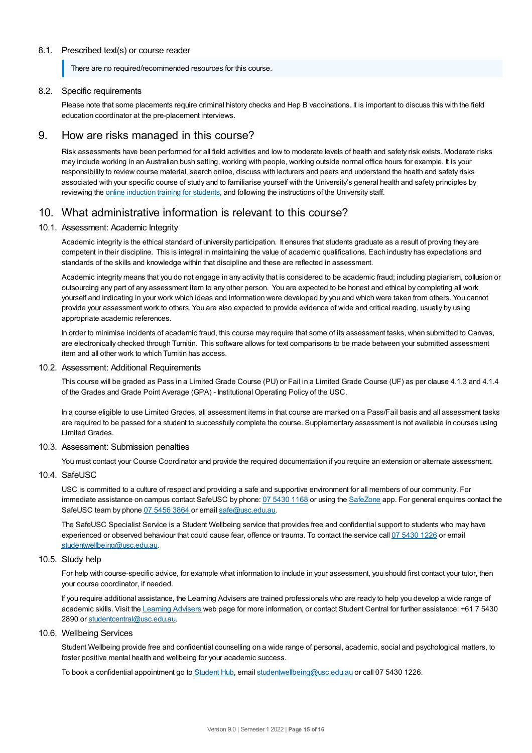## 8.1. Prescribed text(s) or course reader

There are no required/recommended resources for this course.

### 8.2. Specific requirements

Please note that some placements require criminal history checks and Hep B vaccinations. It is important to discuss this with the field education coordinator at the pre-placement interviews.

## 9. How are risks managed in this course?

Risk assessments have been performed for all field activities and low to moderate levels of health and safety risk exists. Moderate risks may include working in an Australian bush setting, working with people, working outside normal office hours for example. It is your responsibility to review course material, search online, discuss with lecturers and peers and understand the health and safety risks associated with your specific course of study and to familiarise yourself with the University's general health and safety principles by reviewing the online [induction](https://online.usc.edu.au/webapps/blackboard/content/listContentEditable.jsp?content_id=_632657_1&course_id=_14432_1) training for students, and following the instructions of the University staff.

## 10. What administrative information is relevant to this course?

#### 10.1. Assessment: Academic Integrity

Academic integrity is the ethical standard of university participation. It ensures that students graduate as a result of proving they are competent in their discipline. This is integral in maintaining the value of academic qualifications. Each industry has expectations and standards of the skills and knowledge within that discipline and these are reflected in assessment.

Academic integrity means that you do not engage in any activity that is considered to be academic fraud; including plagiarism, collusion or outsourcing any part of any assessment item to any other person. You are expected to be honest and ethical by completing all work yourself and indicating in your work which ideas and information were developed by you and which were taken from others. You cannot provide your assessment work to others.You are also expected to provide evidence of wide and critical reading, usually by using appropriate academic references.

In order to minimise incidents of academic fraud, this course may require that some of its assessment tasks, when submitted to Canvas, are electronically checked through Turnitin. This software allows for text comparisons to be made between your submitted assessment item and all other work to which Turnitin has access.

### 10.2. Assessment: Additional Requirements

This course will be graded as Pass in a Limited Grade Course (PU) or Fail in a Limited Grade Course (UF) as per clause 4.1.3 and 4.1.4 of the Grades and Grade Point Average (GPA) - Institutional Operating Policy of the USC.

In a course eligible to use Limited Grades, all assessment items in that course are marked on a Pass/Fail basis and all assessment tasks are required to be passed for a student to successfully complete the course. Supplementary assessment is not available in courses using Limited Grades.

## 10.3. Assessment: Submission penalties

You must contact your Course Coordinator and provide the required documentation if you require an extension or alternate assessment.

## 10.4. SafeUSC

USC is committed to a culture of respect and providing a safe and supportive environment for all members of our community. For immediate assistance on campus contact SafeUSC by phone: 07 [5430](tel:07%205430%201168) 1168 or using the [SafeZone](https://www.safezoneapp.com) app. For general enquires contact the SafeUSC team by phone 07 [5456](tel:07%205456%203864) 3864 or email [safe@usc.edu.au](mailto:safe@usc.edu.au).

The SafeUSC Specialist Service is a Student Wellbeing service that provides free and confidential support to students who may have experienced or observed behaviour that could cause fear, offence or trauma. To contact the service call 07 [5430](tel:07%205430%201226) 1226 or email [studentwellbeing@usc.edu.au](mailto:studentwellbeing@usc.edu.au).

#### 10.5. Study help

For help with course-specific advice, for example what information to include in your assessment, you should first contact your tutor, then your course coordinator, if needed.

If you require additional assistance, the Learning Advisers are trained professionals who are ready to help you develop a wide range of academic skills. Visit the Learning [Advisers](https://www.usc.edu.au/current-students/student-support/academic-and-study-support/learning-advisers) web page for more information, or contact Student Central for further assistance: +61 7 5430 2890 or [studentcentral@usc.edu.au](mailto:studentcentral@usc.edu.au).

## 10.6. Wellbeing Services

Student Wellbeing provide free and confidential counselling on a wide range of personal, academic, social and psychological matters, to foster positive mental health and wellbeing for your academic success.

To book a confidential appointment go to [Student](https://studenthub.usc.edu.au/) Hub, email [studentwellbeing@usc.edu.au](mailto:studentwellbeing@usc.edu.au) or call 07 5430 1226.